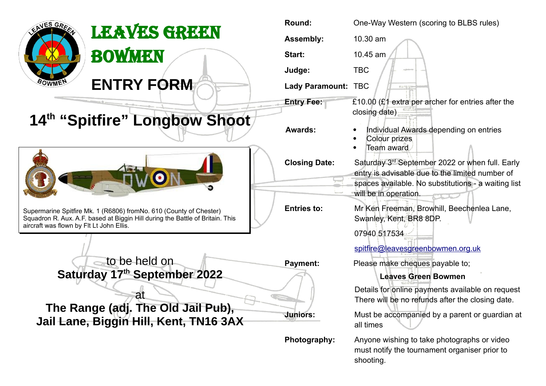